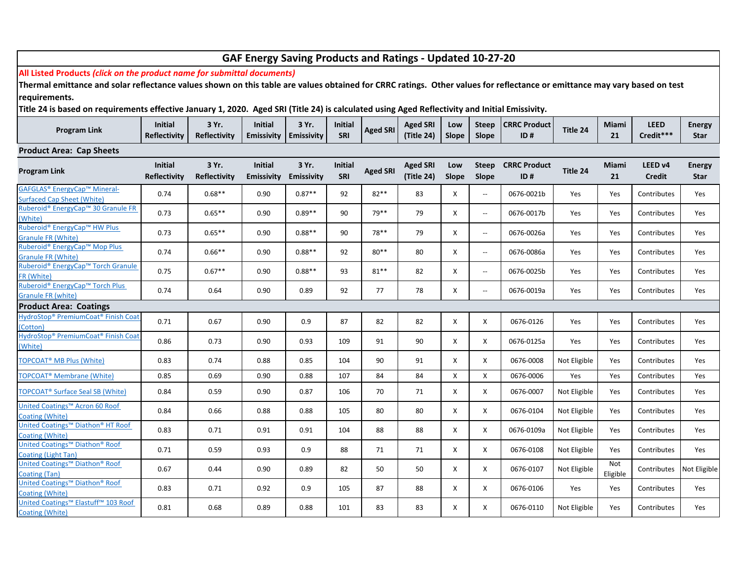| GAF Energy Saving Products and Ratings - Updated 10-27-20                                                                                                                 |                                       |                              |                                     |                            |                              |                 |                               |              |                       |                            |              |                 |                          |                       |
|---------------------------------------------------------------------------------------------------------------------------------------------------------------------------|---------------------------------------|------------------------------|-------------------------------------|----------------------------|------------------------------|-----------------|-------------------------------|--------------|-----------------------|----------------------------|--------------|-----------------|--------------------------|-----------------------|
| All Listed Products (click on the product name for submittal documents)                                                                                                   |                                       |                              |                                     |                            |                              |                 |                               |              |                       |                            |              |                 |                          |                       |
| Thermal emittance and solar reflectance values shown on this table are values obtained for CRRC ratings. Other values for reflectance or emittance may vary based on test |                                       |                              |                                     |                            |                              |                 |                               |              |                       |                            |              |                 |                          |                       |
| requirements.                                                                                                                                                             |                                       |                              |                                     |                            |                              |                 |                               |              |                       |                            |              |                 |                          |                       |
| Title 24 is based on requirements effective January 1, 2020. Aged SRI (Title 24) is calculated using Aged Reflectivity and Initial Emissivity.                            |                                       |                              |                                     |                            |                              |                 |                               |              |                       |                            |              |                 |                          |                       |
|                                                                                                                                                                           | <b>Initial</b>                        | 3 Yr.                        | <b>Initial</b>                      | 3 Yr.                      | <b>Initial</b>               |                 | <b>Aged SRI</b>               | Low          | <b>Steep</b>          | <b>CRRC Product</b>        |              | Miami           | <b>LEED</b>              | <b>Energy</b>         |
| <b>Program Link</b>                                                                                                                                                       | <b>Reflectivity</b>                   | <b>Reflectivity</b>          | <b>Emissivity</b>                   | <b>Emissivity</b>          | SRI                          | <b>Aged SRI</b> | (Title 24)                    | Slope        | Slope                 | ID#                        | Title 24     | 21              | Credit***                | Star                  |
| <b>Product Area: Cap Sheets</b>                                                                                                                                           |                                       |                              |                                     |                            |                              |                 |                               |              |                       |                            |              |                 |                          |                       |
| <b>Program Link</b>                                                                                                                                                       | <b>Initial</b><br><b>Reflectivity</b> | 3 Yr.<br><b>Reflectivity</b> | <b>Initial</b><br><b>Emissivity</b> | 3 Yr.<br><b>Emissivity</b> | <b>Initial</b><br><b>SRI</b> | <b>Aged SRI</b> | <b>Aged SRI</b><br>(Title 24) | Low<br>Slope | <b>Steep</b><br>Slope | <b>CRRC Product</b><br>ID# | Title 24     | Miami<br>21     | LEED v4<br><b>Credit</b> | <b>Energy</b><br>Star |
| GAFGLAS® EnergyCap™ Mineral-<br><b>Surfaced Cap Sheet (White)</b>                                                                                                         | 0.74                                  | $0.68**$                     | 0.90                                | $0.87**$                   | 92                           | 82**            | 83                            | X            | $\sim$ $\sim$         | 0676-0021b                 | Yes          | Yes             | Contributes              | Yes                   |
| Ruberoid® EnergyCap™ 30 Granule FR<br>(White)                                                                                                                             | 0.73                                  | $0.65**$                     | 0.90                                | $0.89**$                   | 90                           | 79 **           | 79                            | X            | $\sim$ $\sim$         | 0676-0017b                 | Yes          | Yes             | Contributes              | Yes                   |
| Ruberoid® EnergyCap™ HW Plus<br><b>Granule FR (White)</b>                                                                                                                 | 0.73                                  | $0.65**$                     | 0.90                                | $0.88**$                   | 90                           | 78**            | 79                            | Χ            | $\sim$                | 0676-0026a                 | Yes          | Yes             | Contributes              | Yes                   |
| Ruberoid® EnergyCap™ Mop Plus<br><b>Granule FR (White)</b>                                                                                                                | 0.74                                  | $0.66**$                     | 0.90                                | $0.88**$                   | 92                           | $80**$          | 80                            | X            | $\sim$ $\sim$         | 0676-0086a                 | Yes          | Yes             | Contributes              | Yes                   |
| Ruberoid® EnergyCap™ Torch Granule<br>FR (White)                                                                                                                          | 0.75                                  | $0.67**$                     | 0.90                                | $0.88**$                   | 93                           | $81***$         | 82                            | X            | $\sim$ $\sim$         | 0676-0025b                 | Yes          | Yes             | Contributes              | Yes                   |
| Ruberoid® EnergyCap™ Torch Plus<br><b>Granule FR (white)</b>                                                                                                              | 0.74                                  | 0.64                         | 0.90                                | 0.89                       | 92                           | 77              | 78                            | Χ            | $\sim$ $\sim$         | 0676-0019a                 | Yes          | Yes             | Contributes              | Yes                   |
| <b>Product Area: Coatings</b>                                                                                                                                             |                                       |                              |                                     |                            |                              |                 |                               |              |                       |                            |              |                 |                          |                       |
| HydroStop® PremiumCoat® Finish Coat<br>(Cotton)                                                                                                                           | 0.71                                  | 0.67                         | 0.90                                | 0.9                        | 87                           | 82              | 82                            | X            | X                     | 0676-0126                  | Yes          | Yes             | Contributes              | Yes                   |
| HydroStop® PremiumCoat® Finish Coat<br>(White)                                                                                                                            | 0.86                                  | 0.73                         | 0.90                                | 0.93                       | 109                          | 91              | 90                            | X            | X                     | 0676-0125a                 | Yes          | Yes             | Contributes              | Yes                   |
| <b>TOPCOAT<sup>®</sup> MB Plus (White)</b>                                                                                                                                | 0.83                                  | 0.74                         | 0.88                                | 0.85                       | 104                          | 90              | 91                            | X            | Χ                     | 0676-0008                  | Not Eligible | Yes             | Contributes              | Yes                   |
| <b>TOPCOAT<sup>®</sup></b> Membrane (White)                                                                                                                               | 0.85                                  | 0.69                         | 0.90                                | 0.88                       | 107                          | 84              | 84                            | X            | X                     | 0676-0006                  | Yes          | Yes             | Contributes              | Yes                   |
| <b>TOPCOAT<sup>®</sup></b> Surface Seal SB (White)                                                                                                                        | 0.84                                  | 0.59                         | 0.90                                | 0.87                       | 106                          | 70              | 71                            | X            | X                     | 0676-0007                  | Not Eligible | Yes             | Contributes              | Yes                   |
| United Coatings™ Acron 60 Roof<br>Coating (White)                                                                                                                         | 0.84                                  | 0.66                         | 0.88                                | 0.88                       | 105                          | 80              | 80                            | X            | X                     | 0676-0104                  | Not Eligible | Yes             | Contributes              | Yes                   |
| United Coatings™ Diathon® HT Roof<br>Coating (White)                                                                                                                      | 0.83                                  | 0.71                         | 0.91                                | 0.91                       | 104                          | 88              | 88                            | X            | X                     | 0676-0109a                 | Not Eligible | Yes             | Contributes              | Yes                   |
| United Coatings™ Diathon® Roof<br><b>Coating (Light Tan)</b>                                                                                                              | 0.71                                  | 0.59                         | 0.93                                | 0.9                        | 88                           | 71              | 71                            | X            | X                     | 0676-0108                  | Not Eligible | Yes             | Contributes              | Yes                   |
| United Coatings™ Diathon® Roof<br><b>Coating (Tan)</b>                                                                                                                    | 0.67                                  | 0.44                         | 0.90                                | 0.89                       | 82                           | 50              | 50                            | X            | X                     | 0676-0107                  | Not Eligible | Not<br>Eligible | Contributes              | Not Eligible          |
| United Coatings™ Diathon® Roof<br>Coating (White)                                                                                                                         | 0.83                                  | 0.71                         | 0.92                                | 0.9                        | 105                          | 87              | 88                            | X            | X                     | 0676-0106                  | Yes          | Yes             | Contributes              | Yes                   |
| United Coatings™ Elastuff™ 103 Roof<br><b>Coating (White)</b>                                                                                                             | 0.81                                  | 0.68                         | 0.89                                | 0.88                       | 101                          | 83              | 83                            | X            | X                     | 0676-0110                  | Not Eligible | Yes             | Contributes              | Yes                   |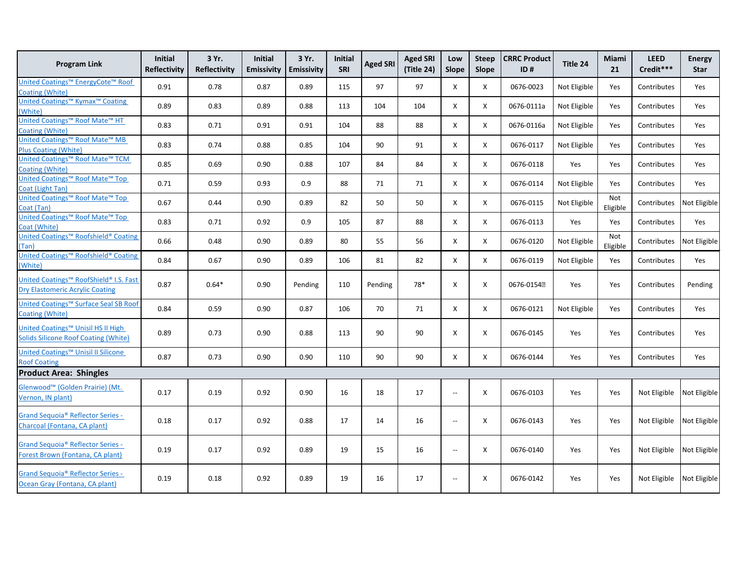| <b>Program Link</b>                                                                     | Initial<br><b>Reflectivity</b> | 3 Yr.<br><b>Reflectivity</b> | <b>Initial</b><br><b>Emissivity</b> | 3 Yr.<br><b>Emissivity</b> | Initial<br>SRI | <b>Aged SRI</b> | <b>Aged SRI</b><br>(Title 24) | Low<br>Slope                                  | <b>Steep</b><br>Slope | <b>CRRC Product</b><br>ID# | Title 24     | Miami<br>21     | <b>LEED</b><br>Credit***  | <b>Energy</b><br><b>Star</b> |
|-----------------------------------------------------------------------------------------|--------------------------------|------------------------------|-------------------------------------|----------------------------|----------------|-----------------|-------------------------------|-----------------------------------------------|-----------------------|----------------------------|--------------|-----------------|---------------------------|------------------------------|
| United Coatings™ EnergyCote™ Roof<br>Coating (White)                                    | 0.91                           | 0.78                         | 0.87                                | 0.89                       | 115            | 97              | 97                            | X                                             | Χ                     | 0676-0023                  | Not Eligible | Yes             | Contributes               | Yes                          |
| United Coatings <sup>™</sup> Kymax <sup>™</sup> Coating                                 | 0.89                           | 0.83                         | 0.89                                | 0.88                       | 113            | 104             | 104                           | X                                             | Χ                     | 0676-0111a                 | Not Eligible | Yes             | Contributes               | Yes                          |
| (White)<br>United Coatings <sup>™</sup> Roof Mate <sup>™</sup> HT                       | 0.83                           | 0.71                         | 0.91                                | 0.91                       | 104            | 88              | 88                            | X                                             | X                     | 0676-0116a                 | Not Eligible | Yes             | Contributes               | Yes                          |
| <b>Coating (White)</b><br>United Coatings™ Roof Mate™ MB<br><b>Plus Coating (White)</b> | 0.83                           | 0.74                         | 0.88                                | 0.85                       | 104            | 90              | 91                            | X                                             | X                     | 0676-0117                  | Not Eligible | Yes             | Contributes               | Yes                          |
| United Coatings™ Roof Mate™ TCM<br><b>Coating (White)</b>                               | 0.85                           | 0.69                         | 0.90                                | 0.88                       | 107            | 84              | 84                            | X                                             | Χ                     | 0676-0118                  | Yes          | Yes             | Contributes               | Yes                          |
| United Coatings™ Roof Mate™ Top<br>Coat (Light Tan)                                     | 0.71                           | 0.59                         | 0.93                                | 0.9                        | 88             | 71              | 71                            | X                                             | X                     | 0676-0114                  | Not Eligible | Yes             | Contributes               | Yes                          |
| United Coatings <sup>™</sup> Roof Mate <sup>™</sup> Top<br>Coat (Tan)                   | 0.67                           | 0.44                         | 0.90                                | 0.89                       | 82             | 50              | 50                            | X                                             | X                     | 0676-0115                  | Not Eligible | Not<br>Eligible | Contributes               | Not Eligible                 |
| United Coatings <sup>™</sup> Roof Mate <sup>™</sup> Top<br>Coat (White)                 | 0.83                           | 0.71                         | 0.92                                | 0.9                        | 105            | 87              | 88                            | X                                             | Χ                     | 0676-0113                  | Yes          | Yes             | Contributes               | Yes                          |
| United Coatings <sup>™</sup> Roofshield® Coating<br>(Tan)                               | 0.66                           | 0.48                         | 0.90                                | 0.89                       | 80             | 55              | 56                            | X                                             | X                     | 0676-0120                  | Not Eligible | Not<br>Eligible | Contributes               | Not Eligible                 |
| United Coatings <sup>™</sup> Roofshield® Coating<br>(White)                             | 0.84                           | 0.67                         | 0.90                                | 0.89                       | 106            | 81              | 82                            | X                                             | X                     | 0676-0119                  | Not Eligible | Yes             | Contributes               | Yes                          |
| United Coatings™ RoofShield® I.S. Fast<br><b>Dry Elastomeric Acrylic Coating</b>        | 0.87                           | $0.64*$                      | 0.90                                | Pending                    | 110            | Pending         | 78*                           | X                                             | Х                     | 0676-01542                 | Yes          | Yes             | Contributes               | Pending                      |
| United Coatings <sup>™</sup> Surface Seal SB Roof<br>Coating (White)                    | 0.84                           | 0.59                         | 0.90                                | 0.87                       | 106            | 70              | 71                            | X                                             | X                     | 0676-0121                  | Not Eligible | Yes             | Contributes               | Yes                          |
| United Coatings™ Unisil HS II High<br><b>Solids Silicone Roof Coating (White)</b>       | 0.89                           | 0.73                         | 0.90                                | 0.88                       | 113            | 90              | 90                            | X                                             | Χ                     | 0676-0145                  | Yes          | Yes             | Contributes               | Yes                          |
| United Coatings <sup>™</sup> Unisil II Silicone<br><b>Roof Coating</b>                  | 0.87                           | 0.73                         | 0.90                                | 0.90                       | 110            | 90              | 90                            | X                                             | X                     | 0676-0144                  | Yes          | Yes             | Contributes               | Yes                          |
| <b>Product Area: Shingles</b>                                                           |                                |                              |                                     |                            |                |                 |                               |                                               |                       |                            |              |                 |                           |                              |
| Glenwood <sup>™</sup> (Golden Prairie) (Mt.<br>Vernon, IN plant)                        | 0.17                           | 0.19                         | 0.92                                | 0.90                       | 16             | 18              | 17                            | $\sim$                                        | X                     | 0676-0103                  | Yes          | Yes             | Not Eligible              | Not Eligible                 |
| Grand Sequoia® Reflector Series -<br>Charcoal (Fontana, CA plant)                       | 0.18                           | 0.17                         | 0.92                                | 0.88                       | 17             | 14              | 16                            | $\sim$                                        | X                     | 0676-0143                  | Yes          | Yes             | Not Eligible Not Eligible |                              |
| <b>Grand Sequoia® Reflector Series -</b><br>Forest Brown (Fontana, CA plant)            | 0.19                           | 0.17                         | 0.92                                | 0.89                       | 19             | 15              | 16                            | $\mathord{\hspace{1pt}\text{--}\hspace{1pt}}$ | X                     | 0676-0140                  | Yes          | Yes             | Not Eligible              | Not Eligible                 |
| <b>Grand Sequoia® Reflector Series -</b><br>Ocean Gray (Fontana, CA plant)              | 0.19                           | 0.18                         | 0.92                                | 0.89                       | 19             | 16              | 17                            | $\overline{\phantom{a}}$                      | X                     | 0676-0142                  | Yes          | Yes             | Not Eligible              | Not Eligible                 |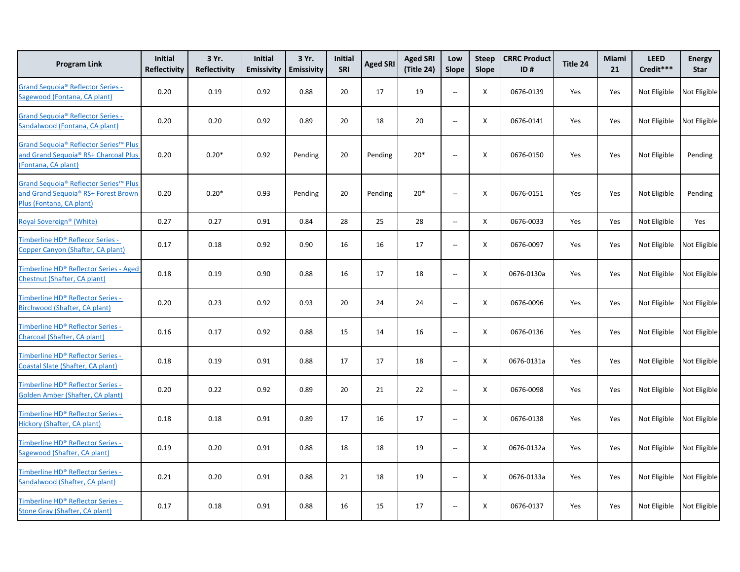| <b>Program Link</b>                                                                                      | Initial<br><b>Reflectivity</b> | 3 Yr.<br><b>Reflectivity</b> | <b>Initial</b><br><b>Emissivity</b> | 3 Yr.<br><b>Emissivity</b> | <b>Initial</b><br>SRI | <b>Aged SRI</b> | <b>Aged SRI</b><br>(Title 24) | Low<br><b>Slope</b>                           | <b>Steep</b><br>Slope | <b>CRRC Product</b><br>ID# | Title 24 | Miami<br>21 | <b>LEED</b><br>Credit*** | <b>Energy</b><br>Star |
|----------------------------------------------------------------------------------------------------------|--------------------------------|------------------------------|-------------------------------------|----------------------------|-----------------------|-----------------|-------------------------------|-----------------------------------------------|-----------------------|----------------------------|----------|-------------|--------------------------|-----------------------|
| Grand Sequoia® Reflector Series -<br>Sagewood (Fontana, CA plant)                                        | 0.20                           | 0.19                         | 0.92                                | 0.88                       | 20                    | 17              | 19                            | $\overline{\phantom{a}}$                      | X                     | 0676-0139                  | Yes      | Yes         | Not Eligible             | Not Eligible          |
| Grand Sequoia® Reflector Series -<br>Sandalwood (Fontana, CA plant)                                      | 0.20                           | 0.20                         | 0.92                                | 0.89                       | 20                    | 18              | 20                            | $\overline{\phantom{a}}$                      | X                     | 0676-0141                  | Yes      | Yes         | Not Eligible             | Not Eligible          |
| Grand Sequoia® Reflector Series™ Plus<br>and Grand Sequoia® RS+ Charcoal Plus<br>(Fontana, CA plant)     | 0.20                           | $0.20*$                      | 0.92                                | Pending                    | 20                    | Pending         | $20*$                         | $\sim$                                        | X                     | 0676-0150                  | Yes      | Yes         | Not Eligible             | Pending               |
| Grand Sequoia® Reflector Series™ Plus<br>and Grand Sequoia® RS+ Forest Brown<br>Plus (Fontana, CA plant) | 0.20                           | $0.20*$                      | 0.93                                | Pending                    | 20                    | Pending         | $20*$                         | $\sim$                                        | Χ                     | 0676-0151                  | Yes      | Yes         | Not Eligible             | Pending               |
| Royal Sovereign <sup>®</sup> (White)                                                                     | 0.27                           | 0.27                         | 0.91                                | 0.84                       | 28                    | 25              | 28                            | $\mathord{\hspace{1pt}\text{--}\hspace{1pt}}$ | X                     | 0676-0033                  | Yes      | Yes         | Not Eligible             | Yes                   |
| Fimberline HD® Reflecor Series -<br>Copper Canyon (Shafter, CA plant)                                    | 0.17                           | 0.18                         | 0.92                                | 0.90                       | 16                    | 16              | 17                            | $\mathord{\hspace{1pt}\text{--}\hspace{1pt}}$ | X                     | 0676-0097                  | Yes      | Yes         | Not Eligible             | Not Eligible          |
| Timberline HD® Reflector Series - Aged<br>Chestnut (Shafter, CA plant)                                   | 0.18                           | 0.19                         | 0.90                                | 0.88                       | 16                    | 17              | 18                            | $\overline{a}$                                | X                     | 0676-0130a                 | Yes      | Yes         | Not Eligible             | Not Eligible          |
| Timberline HD® Reflector Series -<br>Birchwood (Shafter, CA plant)                                       | 0.20                           | 0.23                         | 0.92                                | 0.93                       | 20                    | 24              | 24                            | $\overline{a}$                                | X                     | 0676-0096                  | Yes      | Yes         | Not Eligible             | Not Eligible          |
| Timberline HD® Reflector Series -<br>Charcoal (Shafter, CA plant)                                        | 0.16                           | 0.17                         | 0.92                                | 0.88                       | 15                    | 14              | 16                            | $\sim$                                        | X                     | 0676-0136                  | Yes      | Yes         | Not Eligible             | Not Eligible          |
| Timberline HD® Reflector Series -<br>Coastal Slate (Shafter, CA plant)                                   | 0.18                           | 0.19                         | 0.91                                | 0.88                       | 17                    | 17              | 18                            | $\mathord{\hspace{1pt}\text{--}\hspace{1pt}}$ | X                     | 0676-0131a                 | Yes      | Yes         | Not Eligible             | Not Eligible          |
| Timberline HD® Reflector Series -<br>Golden Amber (Shafter, CA plant)                                    | 0.20                           | 0.22                         | 0.92                                | 0.89                       | 20                    | 21              | 22                            | $\sim$                                        | X                     | 0676-0098                  | Yes      | Yes         | Not Eligible             | Not Eligible          |
| Timberline HD® Reflector Series -<br><b>Hickory (Shafter, CA plant)</b>                                  | 0.18                           | 0.18                         | 0.91                                | 0.89                       | 17                    | 16              | 17                            | $\overline{\phantom{a}}$                      | X                     | 0676-0138                  | Yes      | Yes         | Not Eligible             | Not Eligible          |
| Timberline HD® Reflector Series -<br>Sagewood (Shafter, CA plant)                                        | 0.19                           | 0.20                         | 0.91                                | 0.88                       | 18                    | 18              | 19                            | $\hspace{0.05cm} \dashrightarrow$             | X                     | 0676-0132a                 | Yes      | Yes         | Not Eligible             | Not Eligible          |
| Timberline HD® Reflector Series -<br>Sandalwood (Shafter, CA plant)                                      | 0.21                           | 0.20                         | 0.91                                | 0.88                       | 21                    | 18              | 19                            | $\hspace{0.05cm} \dashrightarrow$             | X                     | 0676-0133a                 | Yes      | Yes         | Not Eligible             | Not Eligible          |
| Timberline HD® Reflector Series -<br><b>Stone Gray (Shafter, CA plant)</b>                               | 0.17                           | 0.18                         | 0.91                                | 0.88                       | 16                    | 15              | 17                            | $\overline{\phantom{a}}$                      | X                     | 0676-0137                  | Yes      | Yes         | Not Eligible             | Not Eligible          |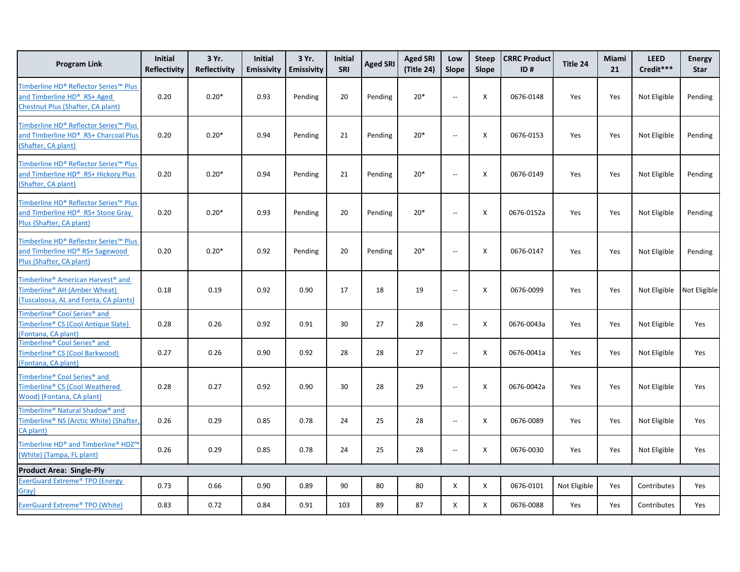| <b>Program Link</b>                                                                                                                | <b>Initial</b><br>Reflectivity | 3 Yr.<br>Reflectivity | <b>Initial</b><br><b>Emissivity</b> | 3 Yr.<br>Emissivity | <b>Initial</b><br>SRI | <b>Aged SRI</b> | <b>Aged SRI</b><br>(Title 24) | Low<br><b>Slope</b>      | <b>Steep</b><br>Slope     | <b>CRRC Product</b><br>ID# | Title 24     | Miami<br>21 | <b>LEED</b><br>Credit*** | <b>Energy</b><br><b>Star</b> |
|------------------------------------------------------------------------------------------------------------------------------------|--------------------------------|-----------------------|-------------------------------------|---------------------|-----------------------|-----------------|-------------------------------|--------------------------|---------------------------|----------------------------|--------------|-------------|--------------------------|------------------------------|
| Timberline HD® Reflector Series™ Plus<br>and Timberline HD® RS+ Aged<br>Chestnut Plus (Shafter, CA plant)                          | 0.20                           | $0.20*$               | 0.93                                | Pending             | 20                    | Pending         | $20*$                         | $\overline{\phantom{a}}$ | X                         | 0676-0148                  | Yes          | Yes         | Not Eligible             | Pending                      |
| Timberline HD® Reflector Series™ Plus<br>and Timberline HD® RS+ Charcoal Plus<br>(Shafter, CA plant)                               | 0.20                           | $0.20*$               | 0.94                                | Pending             | 21                    | Pending         | $20*$                         | $\sim$ $\sim$            | X                         | 0676-0153                  | Yes          | Yes         | Not Eligible             | Pending                      |
| Timberline HD® Reflector Series™ Plus<br>and Timberline HD® RS+ Hickory Plus<br>(Shafter, CA plant)                                | 0.20                           | $0.20*$               | 0.94                                | Pending             | 21                    | Pending         | $20*$                         | $\sim$ $\sim$            | X                         | 0676-0149                  | Yes          | Yes         | Not Eligible             | Pending                      |
| Timberline HD® Reflector Series™ Plus<br>and Timberline HD® RS+ Stone Gray<br>Plus (Shafter, CA plant)                             | 0.20                           | $0.20*$               | 0.93                                | Pending             | 20                    | Pending         | $20*$                         | $-$                      | Χ                         | 0676-0152a                 | Yes          | Yes         | Not Eligible             | Pending                      |
| Timberline HD® Reflector Series™ Plus<br>and Timberline HD® RS+ Sagewood<br>Plus (Shafter, CA plant)                               | 0.20                           | $0.20*$               | 0.92                                | Pending             | 20                    | Pending         | $20*$                         | $\sim$ $\sim$            | X                         | 0676-0147                  | Yes          | Yes         | Not Eligible             | Pending                      |
| Timberline <sup>®</sup> American Harvest <sup>®</sup> and<br>Timberline® AH (Amber Wheat)<br>(Tuscaloosa, AL and Fonta, CA plants) | 0.18                           | 0.19                  | 0.92                                | 0.90                | 17                    | 18              | 19                            | $\overline{\phantom{a}}$ | X                         | 0676-0099                  | Yes          | Yes         | Not Eligible             | Not Eligible                 |
| Timberline® Cool Series® and<br><b>Fimberline® CS (Cool Antique Slate)</b><br>(Fontana, CA plant)                                  | 0.28                           | 0.26                  | 0.92                                | 0.91                | 30                    | 27              | 28                            | $-$                      | $\boldsymbol{\mathsf{X}}$ | 0676-0043a                 | Yes          | Yes         | Not Eligible             | Yes                          |
| Timberline® Cool Series® and<br>Timberline® CS (Cool Barkwood)<br>(Fontana, CA plant)                                              | 0.27                           | 0.26                  | 0.90                                | 0.92                | 28                    | 28              | 27                            | $-$                      | X                         | 0676-0041a                 | Yes          | Yes         | Not Eligible             | Yes                          |
| <b>Fimberline® Cool Series® and</b><br>Timberline® CS (Cool Weathered<br>Wood) (Fontana, CA plant)                                 | 0.28                           | 0.27                  | 0.92                                | 0.90                | 30                    | 28              | 29                            | $\overline{\phantom{a}}$ | X                         | 0676-0042a                 | Yes          | Yes         | Not Eligible             | Yes                          |
| Fimberline <sup>®</sup> Natural Shadow <sup>®</sup> and<br>Timberline® NS (Arctic White) (Shafter,<br>CA plant)                    | 0.26                           | 0.29                  | 0.85                                | 0.78                | 24                    | 25              | 28                            | $\overline{\phantom{a}}$ | Χ                         | 0676-0089                  | Yes          | Yes         | Not Eligible             | Yes                          |
| Timberline HD® and Timberline® HDZ™<br>(White) (Tampa, FL plant)                                                                   | 0.26                           | 0.29                  | 0.85                                | 0.78                | 24                    | 25              | 28                            | $\overline{\phantom{a}}$ | X                         | 0676-0030                  | Yes          | Yes         | Not Eligible             | Yes                          |
| <b>Product Area: Single-Ply</b>                                                                                                    |                                |                       |                                     |                     |                       |                 |                               |                          |                           |                            |              |             |                          |                              |
| EverGuard Extreme® TPO (Energy<br>Gray)                                                                                            | 0.73                           | 0.66                  | 0.90                                | 0.89                | 90                    | 80              | 80                            | X                        | X                         | 0676-0101                  | Not Eligible | Yes         | Contributes              | Yes                          |
| EverGuard Extreme® TPO (White)                                                                                                     | 0.83                           | 0.72                  | 0.84                                | 0.91                | 103                   | 89              | 87                            | X                        | X                         | 0676-0088                  | Yes          | Yes         | Contributes              | Yes                          |